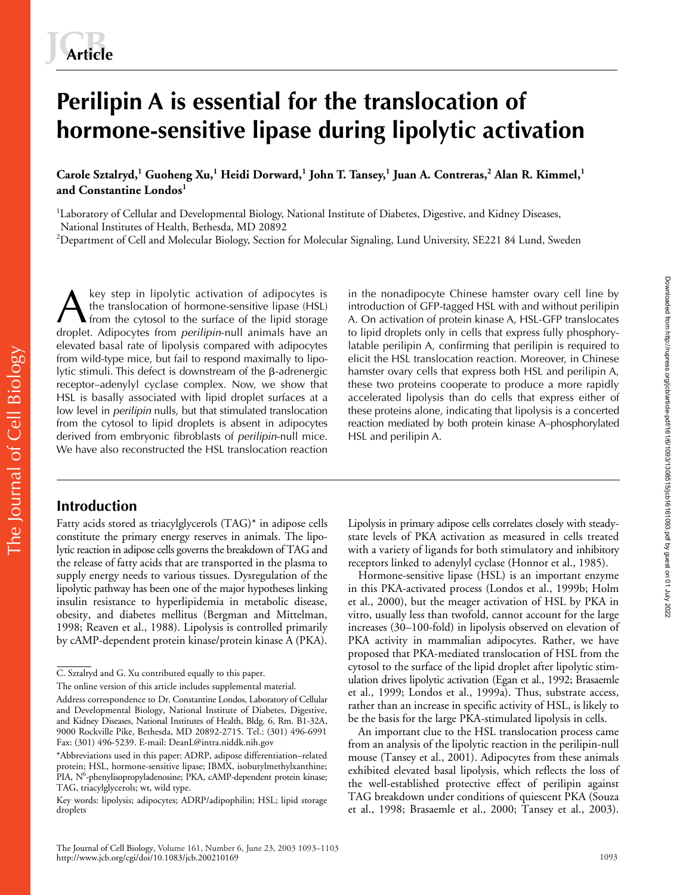# **Perilipin A is essential for the translocation of hormone-sensitive lipase during lipolytic activation**

**Carole Sztalryd,<sup>1</sup> Guoheng Xu,<sup>1</sup> Heidi Dorward,<sup>1</sup> John T. Tansey,<sup>1</sup> Juan A. Contreras,<sup>2</sup> Alan R. Kimmel,<sup>1</sup> and Constantine Londos<sup>1</sup>**

<sup>1</sup>Laboratory of Cellular and Developmental Biology, National Institute of Diabetes, Digestive, and Kidney Diseases, National Institutes of Health, Bethesda, MD 20892

 $^2$ Department of Cell and Molecular Biology, Section for Molecular Signaling, Lund University, SE221 84 Lund, Sweden

key step in lipolytic activation of adipocytes is the translocation of hormone-sensitive lipase (HSL) from the cytosol to the surface of the lipid storage droplet. Adipocytes from *perilipin*-null animals have an elevated basal rate of lipolysis compared with adipocytes from wild-type mice, but fail to respond maximally to lipolytic stimuli. This defect is downstream of the  $\beta$ -adrenergic receptor–adenylyl cyclase complex. Now, we show that HSL is basally associated with lipid droplet surfaces at a low level in *perilipin* nulls, but that stimulated translocation from the cytosol to lipid droplets is absent in adipocytes derived from embryonic fibroblasts of *perilipin*-null mice. We have also reconstructed the HSL translocation reaction

# **Introduction**

Fatty acids stored as triacylglycerols (TAG)\* in adipose cells constitute the primary energy reserves in animals. The lipolytic reaction in adipose cells governs the breakdown of TAG and the release of fatty acids that are transported in the plasma to supply energy needs to various tissues. Dysregulation of the lipolytic pathway has been one of the major hypotheses linking insulin resistance to hyperlipidemia in metabolic disease, obesity, and diabetes mellitus (Bergman and Mittelman, 1998; Reaven et al., 1988). Lipolysis is controlled primarily by cAMP-dependent protein kinase/protein kinase A (PKA).

in the nonadipocyte Chinese hamster ovary cell line by introduction of GFP-tagged HSL with and without perilipin A. On activation of protein kinase A, HSL-GFP translocates to lipid droplets only in cells that express fully phosphorylatable perilipin A, confirming that perilipin is required to elicit the HSL translocation reaction. Moreover, in Chinese hamster ovary cells that express both HSL and perilipin A, these two proteins cooperate to produce a more rapidly accelerated lipolysis than do cells that express either of these proteins alone, indicating that lipolysis is a concerted reaction mediated by both protein kinase A–phosphorylated HSL and perilipin A.

Lipolysis in primary adipose cells correlates closely with steadystate levels of PKA activation as measured in cells treated with a variety of ligands for both stimulatory and inhibitory receptors linked to adenylyl cyclase (Honnor et al., 1985).

Hormone-sensitive lipase (HSL) is an important enzyme in this PKA-activated process (Londos et al., 1999b; Holm et al., 2000), but the meager activation of HSL by PKA in vitro, usually less than twofold, cannot account for the large increases (30–100-fold) in lipolysis observed on elevation of PKA activity in mammalian adipocytes. Rather, we have proposed that PKA-mediated translocation of HSL from the cytosol to the surface of the lipid droplet after lipolytic stimulation drives lipolytic activation (Egan et al., 1992; Brasaemle et al., 1999; Londos et al., 1999a). Thus, substrate access, rather than an increase in specific activity of HSL, is likely to be the basis for the large PKA-stimulated lipolysis in cells.

An important clue to the HSL translocation process came from an analysis of the lipolytic reaction in the perilipin-null mouse (Tansey et al., 2001). Adipocytes from these animals exhibited elevated basal lipolysis, which reflects the loss of the well-established protective effect of perilipin against TAG breakdown under conditions of quiescent PKA (Souza et al., 1998; Brasaemle et al., 2000; Tansey et al., 2003).

Downloaded from http://rupress.org/jcb/article-pdf/16/1093/1308515/jcb16161093.pdf by guest on 01 July 2022 Downloaded from http://rupress.org/jcb/article-pdf/161/6/1093/1308515/jcb16161093.pdf by guest on 01 July 2022

C. Sztalryd and G. Xu contributed equally to this paper.

The online version of this article includes supplemental material.

Address correspondence to Dr. Constantine Londos, Laboratory of Cellular and Developmental Biology, National Institute of Diabetes, Digestive, and Kidney Diseases, National Institutes of Health, Bldg. 6, Rm. B1-32A, 9000 Rockville Pike, Bethesda, MD 20892-2715. Tel.: (301) 496-6991 Fax: (301) 496-5239. E-mail: DeanL@intra.niddk.nih.gov

<sup>\*</sup>Abbreviations used in this paper: ADRP, adipose differentiation–related protein; HSL, hormone-sensitive lipase; IBMX, isobutylmethylxanthine; PIA, N<sup>6</sup>-phenylisopropyladenosine; PKA, cAMP-dependent protein kinase; TAG, triacylglycerols; wt, wild type.

Key words: lipolysis; adipocytes; ADRP/adipophilin; HSL; lipid storage droplets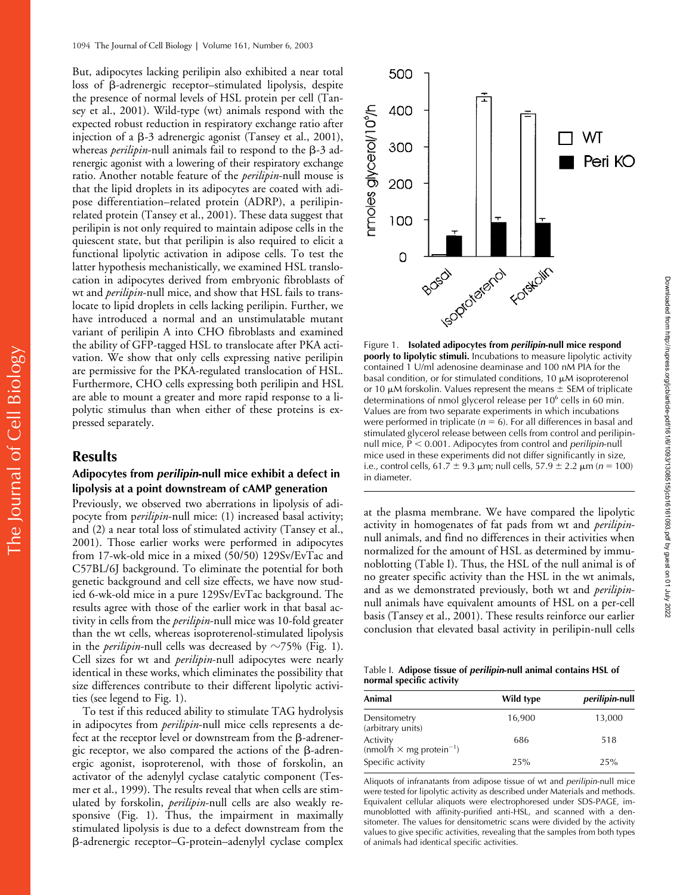But, adipocytes lacking perilipin also exhibited a near total loss of  $\beta$ -adrenergic receptor–stimulated lipolysis, despite the presence of normal levels of HSL protein per cell (Tansey et al., 2001). Wild-type (wt) animals respond with the expected robust reduction in respiratory exchange ratio after injection of a  $\beta$ -3 adrenergic agonist (Tansey et al., 2001), whereas *perilipin*-null animals fail to respond to the ß-3 adrenergic agonist with a lowering of their respiratory exchange ratio. Another notable feature of the *perilipin*-null mouse is that the lipid droplets in its adipocytes are coated with adipose differentiation–related protein (ADRP), a perilipinrelated protein (Tansey et al., 2001). These data suggest that perilipin is not only required to maintain adipose cells in the quiescent state, but that perilipin is also required to elicit a functional lipolytic activation in adipose cells. To test the latter hypothesis mechanistically, we examined HSL translocation in adipocytes derived from embryonic fibroblasts of wt and *perilipin*-null mice, and show that HSL fails to translocate to lipid droplets in cells lacking perilipin. Further, we have introduced a normal and an unstimulatable mutant variant of perilipin A into CHO fibroblasts and examined the ability of GFP-tagged HSL to translocate after PKA activation. We show that only cells expressing native perilipin are permissive for the PKA-regulated translocation of HSL. Furthermore, CHO cells expressing both perilipin and HSL are able to mount a greater and more rapid response to a lipolytic stimulus than when either of these proteins is expressed separately.

# **Results**

# **Adipocytes from** *perilipin***-null mice exhibit a defect in lipolysis at a point downstream of cAMP generation**

Previously, we observed two aberrations in lipolysis of adipocyte from p*erilipin*-null mice: (1) increased basal activity; and (2) a near total loss of stimulated activity (Tansey et al., 2001). Those earlier works were performed in adipocytes from 17-wk-old mice in a mixed (50/50) 129Sv/EvTac and C57BL/6J background. To eliminate the potential for both genetic background and cell size effects, we have now studied 6-wk-old mice in a pure 129Sv/EvTac background. The results agree with those of the earlier work in that basal activity in cells from the *perilipin*-null mice was 10-fold greater than the wt cells, whereas isoproterenol-stimulated lipolysis in the *perilipin*-null cells was decreased by  $\sim$ 75% (Fig. 1). Cell sizes for wt and *perilipin*-null adipocytes were nearly identical in these works, which eliminates the possibility that size differences contribute to their different lipolytic activities (see legend to Fig. 1).

To test if this reduced ability to stimulate TAG hydrolysis in adipocytes from *perilipin*-null mice cells represents a defect at the receptor level or downstream from the  $\beta$ -adrenergic receptor, we also compared the actions of the  $\beta$ -adrenergic agonist, isoproterenol, with those of forskolin, an activator of the adenylyl cyclase catalytic component (Tesmer et al., 1999). The results reveal that when cells are stimulated by forskolin, *perilipin*-null cells are also weakly responsive (Fig. 1). Thus, the impairment in maximally stimulated lipolysis is due to a defect downstream from the --adrenergic receptor–G-protein–adenylyl cyclase complex



Figure 1. **Isolated adipocytes from** *perilipin***-null mice respond poorly to lipolytic stimuli.** Incubations to measure lipolytic activity contained 1 U/ml adenosine deaminase and 100 nM PIA for the basal condition, or for stimulated conditions, 10  $\mu$ M isoproterenol or 10  $\mu$ M forskolin. Values represent the means  $\pm$  SEM of triplicate determinations of nmol glycerol release per 10<sup>6</sup> cells in 60 min. Values are from two separate experiments in which incubations were performed in triplicate ( $n = 6$ ). For all differences in basal and stimulated glycerol release between cells from control and perilipinnull mice,  $P < 0.001$ . Adipocytes from control and *perilipin*-null mice used in these experiments did not differ significantly in size, i.e., control cells,  $61.7 \pm 9.3$   $\mu$ m; null cells,  $57.9 \pm 2.2$   $\mu$ m (*n* = 100) in diameter.

at the plasma membrane. We have compared the lipolytic activity in homogenates of fat pads from wt and *perilipin*null animals, and find no differences in their activities when normalized for the amount of HSL as determined by immunoblotting (Table I). Thus, the HSL of the null animal is of no greater specific activity than the HSL in the wt animals, and as we demonstrated previously, both wt and *perilipin*null animals have equivalent amounts of HSL on a per-cell basis (Tansey et al., 2001). These results reinforce our earlier conclusion that elevated basal activity in perilipin-null cells

Table I. **Adipose tissue of** *perilipin***-null animal contains HSL of normal specific activity**

| Wild type | perilipin-null |  |
|-----------|----------------|--|
| 16,900    | 13,000         |  |
| 686       | 518            |  |
| 25%       | 25%            |  |
|           |                |  |

Aliquots of infranatants from adipose tissue of wt and *perilipin*-null mice were tested for lipolytic activity as described under Materials and methods. Equivalent cellular aliquots were electrophoresed under SDS-PAGE, immunoblotted with affinity-purified anti-HSL, and scanned with a densitometer. The values for densitometric scans were divided by the activity values to give specific activities, revealing that the samples from both types of animals had identical specific activities.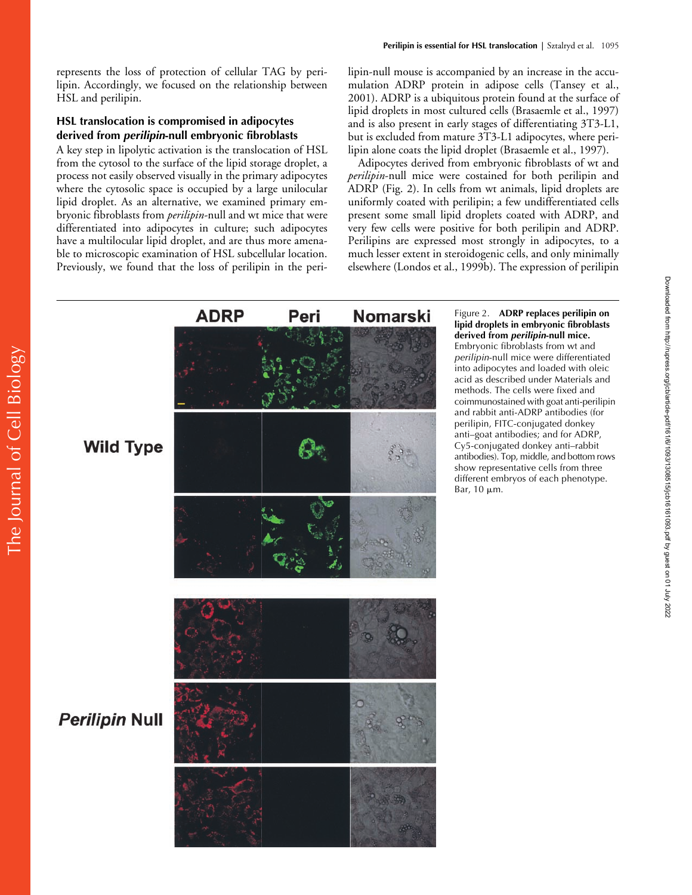represents the loss of protection of cellular TAG by perilipin. Accordingly, we focused on the relationship between HSL and perilipin.

### **HSL translocation is compromised in adipocytes derived from** *perilipin***-null embryonic fibroblasts**

A key step in lipolytic activation is the translocation of HSL from the cytosol to the surface of the lipid storage droplet, a process not easily observed visually in the primary adipocytes where the cytosolic space is occupied by a large unilocular lipid droplet. As an alternative, we examined primary embryonic fibroblasts from *perilipin*-null and wt mice that were differentiated into adipocytes in culture; such adipocytes have a multilocular lipid droplet, and are thus more amenable to microscopic examination of HSL subcellular location. Previously, we found that the loss of perilipin in the perilipin-null mouse is accompanied by an increase in the accumulation ADRP protein in adipose cells (Tansey et al., 2001). ADRP is a ubiquitous protein found at the surface of lipid droplets in most cultured cells (Brasaemle et al., 1997) and is also present in early stages of differentiating 3T3-L1, but is excluded from mature 3T3-L1 adipocytes, where perilipin alone coats the lipid droplet (Brasaemle et al., 1997).

Adipocytes derived from embryonic fibroblasts of wt and *perilipin*-null mice were costained for both perilipin and ADRP (Fig. 2). In cells from wt animals, lipid droplets are uniformly coated with perilipin; a few undifferentiated cells present some small lipid droplets coated with ADRP, and very few cells were positive for both perilipin and ADRP. Perilipins are expressed most strongly in adipocytes, to a much lesser extent in steroidogenic cells, and only minimally elsewhere (Londos et al., 1999b). The expression of perilipin



Figure 2. **ADRP replaces perilipin on lipid droplets in embryonic fibroblasts derived from** *perilipin***-null mice.** Embryonic fibroblasts from wt and *perilipin*-null mice were differentiated into adipocytes and loaded with oleic acid as described under Materials and methods. The cells were fixed and coimmunostained with goat anti-perilipin and rabbit anti-ADRP antibodies (for perilipin, FITC-conjugated donkey anti–goat antibodies; and for ADRP, Cy5-conjugated donkey anti–rabbit antibodies). Top, middle, and bottom rows show representative cells from three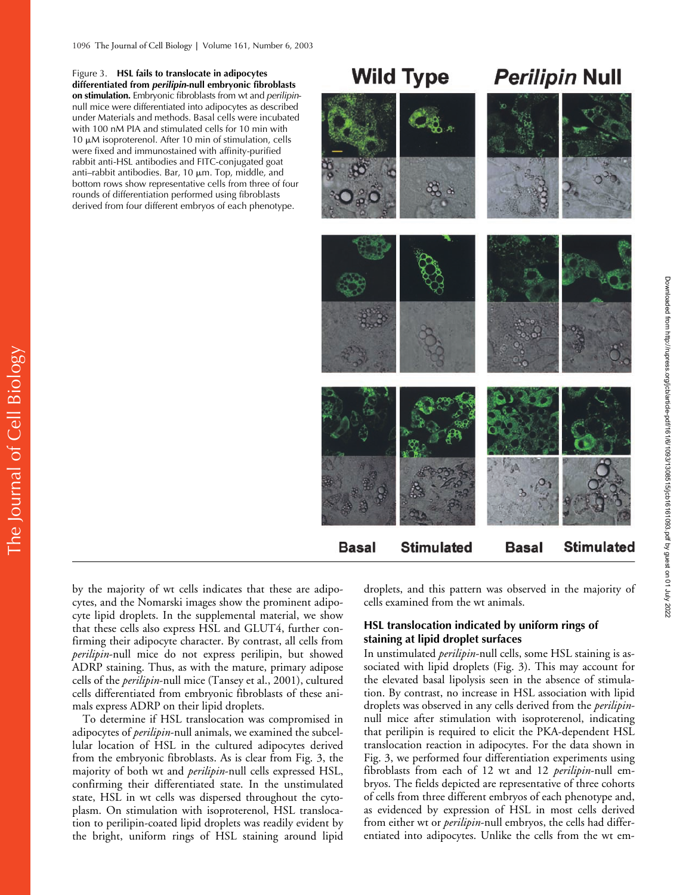Figure 3. **HSL fails to translocate in adipocytes differentiated from** *perilipin***-null embryonic fibroblasts on stimulation.** Embryonic fibroblasts from wt and *perilipin*null mice were differentiated into adipocytes as described under Materials and methods. Basal cells were incubated with 100 nM PIA and stimulated cells for 10 min with 10  $\mu$ M isoproterenol. After 10 min of stimulation, cells were fixed and immunostained with affinity-purified rabbit anti-HSL antibodies and FITC-conjugated goat anti-rabbit antibodies. Bar, 10  $\mu$ m. Top, middle, and bottom rows show representative cells from three of four rounds of differentiation performed using fibroblasts derived from four different embryos of each phenotype.

# **Perilipin Null Wild Type Stimulated Stimulated Basal Basal**

by the majority of wt cells indicates that these are adipocytes, and the Nomarski images show the prominent adipocyte lipid droplets. In the supplemental material, we show that these cells also express HSL and GLUT4, further confirming their adipocyte character. By contrast, all cells from *perilipin*-null mice do not express perilipin, but showed ADRP staining. Thus, as with the mature, primary adipose cells of the *perilipin*-null mice (Tansey et al., 2001), cultured cells differentiated from embryonic fibroblasts of these animals express ADRP on their lipid droplets.

To determine if HSL translocation was compromised in adipocytes of *perilipin*-null animals, we examined the subcellular location of HSL in the cultured adipocytes derived from the embryonic fibroblasts. As is clear from Fig. 3, the majority of both wt and *perilipin*-null cells expressed HSL, confirming their differentiated state. In the unstimulated state, HSL in wt cells was dispersed throughout the cytoplasm. On stimulation with isoproterenol, HSL translocation to perilipin-coated lipid droplets was readily evident by the bright, uniform rings of HSL staining around lipid

droplets, and this pattern was observed in the majority of cells examined from the wt animals.

# **HSL translocation indicated by uniform rings of staining at lipid droplet surfaces**

In unstimulated *perilipin*-null cells, some HSL staining is associated with lipid droplets (Fig. 3). This may account for the elevated basal lipolysis seen in the absence of stimulation. By contrast, no increase in HSL association with lipid droplets was observed in any cells derived from the *perilipin*null mice after stimulation with isoproterenol, indicating that perilipin is required to elicit the PKA-dependent HSL translocation reaction in adipocytes. For the data shown in Fig. 3, we performed four differentiation experiments using fibroblasts from each of 12 wt and 12 *perilipin*-null embryos. The fields depicted are representative of three cohorts of cells from three different embryos of each phenotype and, as evidenced by expression of HSL in most cells derived from either wt or *perilipin*-null embryos, the cells had differentiated into adipocytes. Unlike the cells from the wt em-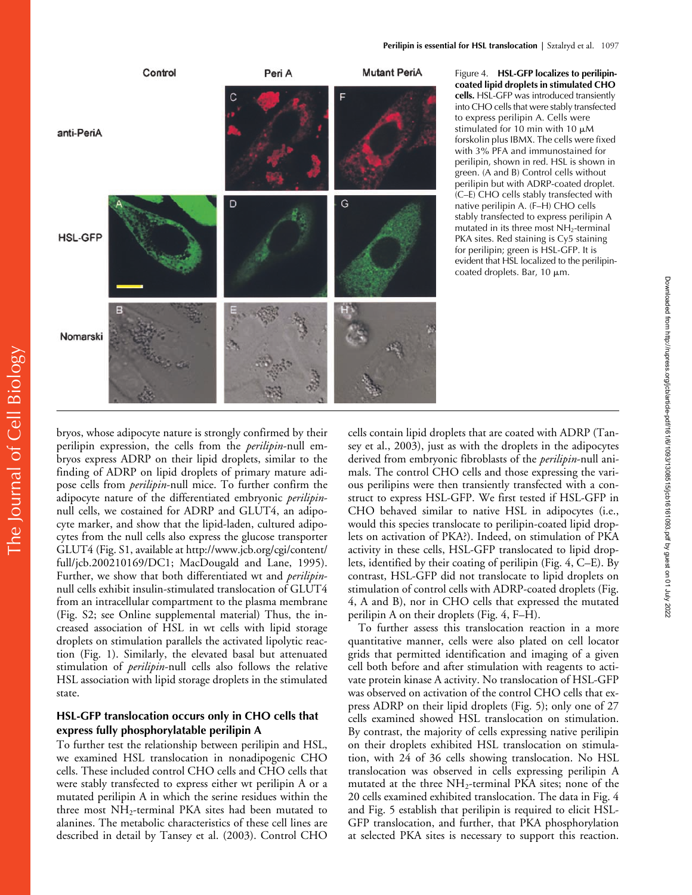

Figure 4. **HSL-GFP localizes to perilipincoated lipid droplets in stimulated CHO cells.** HSL-GFP was introduced transiently into CHO cells that were stably transfected to express perilipin A. Cells were stimulated for 10 min with 10  $\mu$ M forskolin plus IBMX. The cells were fixed with 3% PFA and immunostained for perilipin, shown in red. HSL is shown in green. (A and B) Control cells without perilipin but with ADRP-coated droplet. (C–E) CHO cells stably transfected with native perilipin A. (F–H) CHO cells stably transfected to express perilipin A mutated in its three most  $NH_2$ -terminal PKA sites. Red staining is Cy5 staining for perilipin; green is HSL-GFP. It is evident that HSL localized to the perilipincoated droplets. Bar,  $10 \mu m$ .

bryos, whose adipocyte nature is strongly confirmed by their perilipin expression, the cells from the *perilipin*-null embryos express ADRP on their lipid droplets, similar to the finding of ADRP on lipid droplets of primary mature adipose cells from *perilipin*-null mice. To further confirm the adipocyte nature of the differentiated embryonic *perilipin*null cells, we costained for ADRP and GLUT4, an adipocyte marker, and show that the lipid-laden, cultured adipocytes from the null cells also express the glucose transporter GLUT4 (Fig. S1, available at http://www.jcb.org/cgi/content/ full/jcb.200210169/DC1; MacDougald and Lane, 1995). Further, we show that both differentiated wt and *perilipin*null cells exhibit insulin-stimulated translocation of GLUT4 from an intracellular compartment to the plasma membrane (Fig. S2; see Online supplemental material) Thus, the increased association of HSL in wt cells with lipid storage droplets on stimulation parallels the activated lipolytic reaction (Fig. 1). Similarly, the elevated basal but attenuated stimulation of *perilipin*-null cells also follows the relative HSL association with lipid storage droplets in the stimulated state.

# **HSL-GFP translocation occurs only in CHO cells that express fully phosphorylatable perilipin A**

To further test the relationship between perilipin and HSL, we examined HSL translocation in nonadipogenic CHO cells. These included control CHO cells and CHO cells that were stably transfected to express either wt perilipin A or a mutated perilipin A in which the serine residues within the three most NH<sub>2</sub>-terminal PKA sites had been mutated to alanines. The metabolic characteristics of these cell lines are described in detail by Tansey et al. (2003). Control CHO

cells contain lipid droplets that are coated with ADRP (Tansey et al., 2003), just as with the droplets in the adipocytes derived from embryonic fibroblasts of the *perilipin*-null animals. The control CHO cells and those expressing the various perilipins were then transiently transfected with a construct to express HSL-GFP. We first tested if HSL-GFP in CHO behaved similar to native HSL in adipocytes (i.e., would this species translocate to perilipin-coated lipid droplets on activation of PKA?). Indeed, on stimulation of PKA activity in these cells, HSL-GFP translocated to lipid droplets, identified by their coating of perilipin (Fig. 4, C–E). By contrast, HSL-GFP did not translocate to lipid droplets on stimulation of control cells with ADRP-coated droplets (Fig. 4, A and B), nor in CHO cells that expressed the mutated perilipin A on their droplets (Fig. 4, F–H).

To further assess this translocation reaction in a more quantitative manner, cells were also plated on cell locator grids that permitted identification and imaging of a given cell both before and after stimulation with reagents to activate protein kinase A activity. No translocation of HSL-GFP was observed on activation of the control CHO cells that express ADRP on their lipid droplets (Fig. 5); only one of 27 cells examined showed HSL translocation on stimulation. By contrast, the majority of cells expressing native perilipin on their droplets exhibited HSL translocation on stimulation, with 24 of 36 cells showing translocation. No HSL translocation was observed in cells expressing perilipin A mutated at the three  $NH_2$ -terminal PKA sites; none of the 20 cells examined exhibited translocation. The data in Fig. 4 and Fig. 5 establish that perilipin is required to elicit HSL-GFP translocation, and further, that PKA phosphorylation at selected PKA sites is necessary to support this reaction.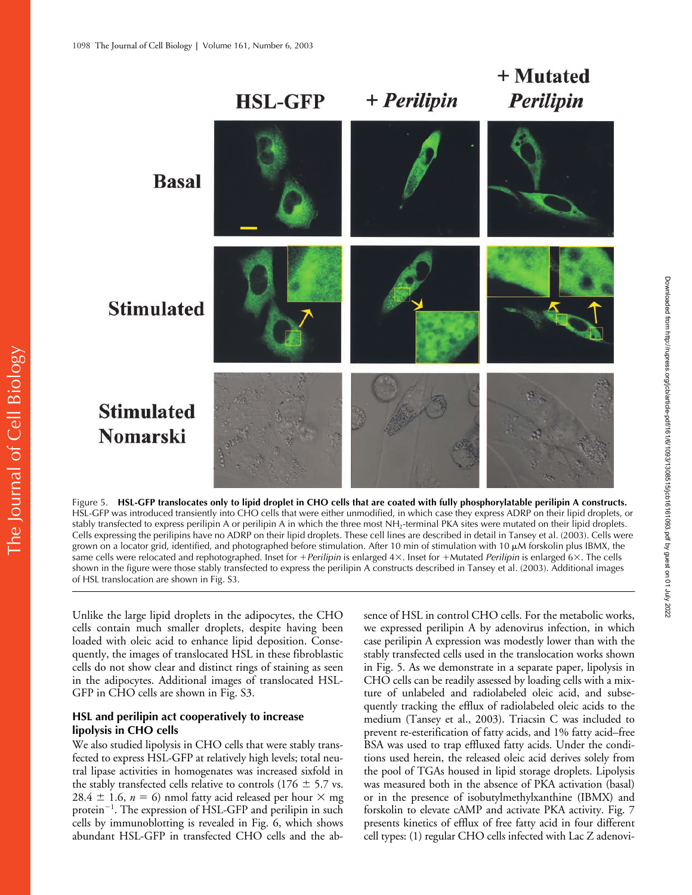

Figure 5. **HSL-GFP translocates only to lipid droplet in CHO cells that are coated with fully phosphorylatable perilipin A constructs.** HSL-GFP was introduced transiently into CHO cells that were either unmodified, in which case they express ADRP on their lipid droplets, or stably transfected to express perilipin A or perilipin A in which the three most NH2-terminal PKA sites were mutated on their lipid droplets. Cells expressing the perilipins have no ADRP on their lipid droplets. These cell lines are described in detail in Tansey et al. (2003). Cells were grown on a locator grid, identified, and photographed before stimulation. After 10 min of stimulation with 10  $\mu$ M forskolin plus IBMX, the same cells were relocated and rephotographed. Inset for +Perilipin is enlarged 4×. Inset for +Mutated Perilipin is enlarged 6×. The cells shown in the figure were those stably transfected to express the perilipin A constructs described in Tansey et al. (2003). Additional images of HSL translocation are shown in Fig. S3.

Unlike the large lipid droplets in the adipocytes, the CHO cells contain much smaller droplets, despite having been loaded with oleic acid to enhance lipid deposition. Consequently, the images of translocated HSL in these fibroblastic cells do not show clear and distinct rings of staining as seen in the adipocytes. Additional images of translocated HSL-GFP in CHO cells are shown in Fig. S3.

# **HSL and perilipin act cooperatively to increase lipolysis in CHO cells**

The Journal of Cell Biology

The Journal of Cell Biology

We also studied lipolysis in CHO cells that were stably transfected to express HSL-GFP at relatively high levels; total neutral lipase activities in homogenates was increased sixfold in the stably transfected cells relative to controls (176  $\pm$  5.7 vs. 28.4  $\pm$  1.6, *n* = 6) nmol fatty acid released per hour  $\times$  mg protein<sup>-1</sup>. The expression of HSL-GFP and perilipin in such cells by immunoblotting is revealed in Fig. 6, which shows abundant HSL-GFP in transfected CHO cells and the absence of HSL in control CHO cells. For the metabolic works, we expressed perilipin A by adenovirus infection, in which case perilipin A expression was modestly lower than with the stably transfected cells used in the translocation works shown in Fig. 5. As we demonstrate in a separate paper, lipolysis in CHO cells can be readily assessed by loading cells with a mixture of unlabeled and radiolabeled oleic acid, and subsequently tracking the efflux of radiolabeled oleic acids to the medium (Tansey et al., 2003). Triacsin C was included to prevent re-esterification of fatty acids, and 1% fatty acid–free BSA was used to trap effluxed fatty acids. Under the conditions used herein, the released oleic acid derives solely from the pool of TGAs housed in lipid storage droplets. Lipolysis was measured both in the absence of PKA activation (basal) or in the presence of isobutylmethylxanthine (IBMX) and forskolin to elevate cAMP and activate PKA activity. Fig. 7 presents kinetics of efflux of free fatty acid in four different cell types: (1) regular CHO cells infected with Lac Z adenovi-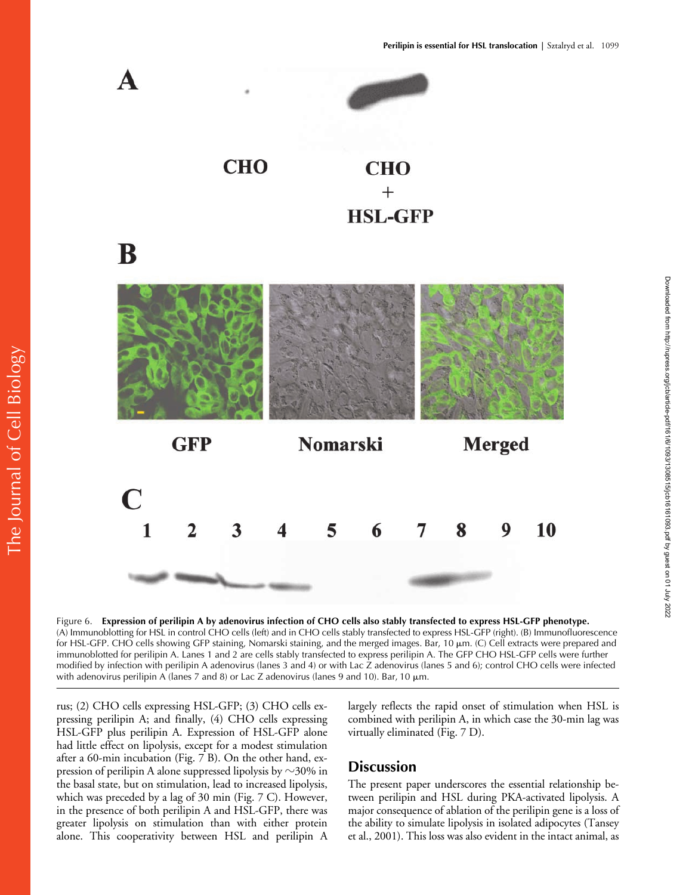

Figure 6. **Expression of perilipin A by adenovirus infection of CHO cells also stably transfected to express HSL-GFP phenotype.** (A) Immunoblotting for HSL in control CHO cells (left) and in CHO cells stably transfected to express HSL-GFP (right). (B) Immunofluorescence for HSL-GFP. CHO cells showing GFP staining, Nomarski staining, and the merged images. Bar, 10  $\mu$ m. (C) Cell extracts were prepared and immunoblotted for perilipin A. Lanes 1 and 2 are cells stably transfected to express perilipin A. The GFP CHO HSL-GFP cells were further modified by infection with perilipin A adenovirus (lanes 3 and 4) or with Lac Z adenovirus (lanes 5 and 6); control CHO cells were infected with adenovirus perilipin A (lanes 7 and 8) or Lac Z adenovirus (lanes 9 and 10). Bar, 10  $\mu$ m.

rus; (2) CHO cells expressing HSL-GFP; (3) CHO cells expressing perilipin A; and finally, (4) CHO cells expressing HSL-GFP plus perilipin A. Expression of HSL-GFP alone had little effect on lipolysis, except for a modest stimulation after a 60-min incubation (Fig. 7 B). On the other hand, expression of perilipin A alone suppressed lipolysis by  $\sim$ 30% in the basal state, but on stimulation, lead to increased lipolysis, which was preceded by a lag of 30 min (Fig. 7 C). However, in the presence of both perilipin A and HSL-GFP, there was greater lipolysis on stimulation than with either protein alone. This cooperativity between HSL and perilipin A

largely reflects the rapid onset of stimulation when HSL is combined with perilipin A, in which case the 30-min lag was virtually eliminated (Fig. 7 D).

# **Discussion**

The present paper underscores the essential relationship between perilipin and HSL during PKA-activated lipolysis. A major consequence of ablation of the perilipin gene is a loss of the ability to simulate lipolysis in isolated adipocytes (Tansey et al., 2001). This loss was also evident in the intact animal, as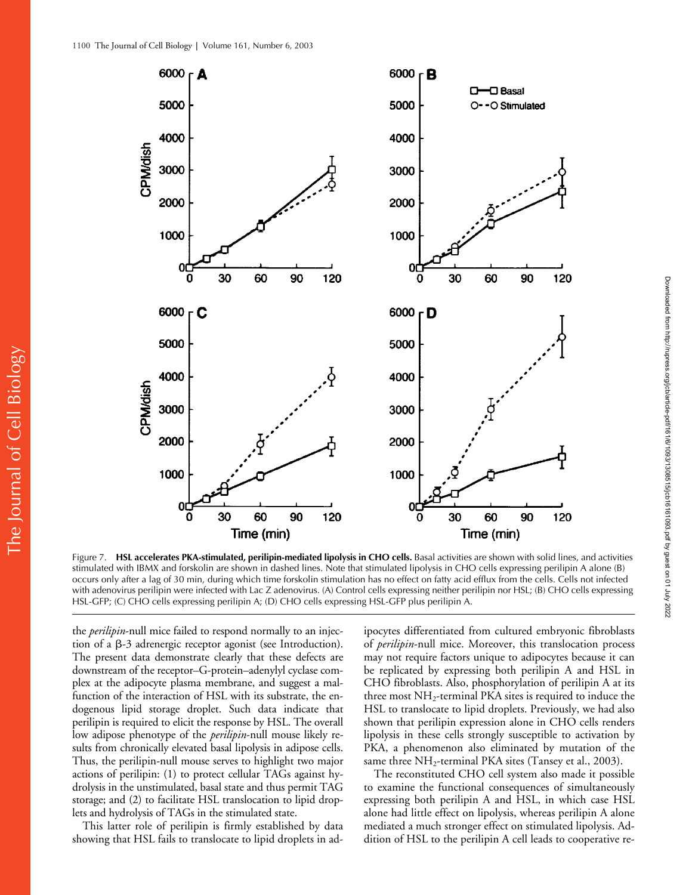

Figure 7. **HSL accelerates PKA-stimulated, perilipin-mediated lipolysis in CHO cells.** Basal activities are shown with solid lines, and activities stimulated with IBMX and forskolin are shown in dashed lines. Note that stimulated lipolysis in CHO cells expressing perilipin A alone (B) occurs only after a lag of 30 min, during which time forskolin stimulation has no effect on fatty acid efflux from the cells. Cells not infected with adenovirus perilipin were infected with Lac Z adenovirus. (A) Control cells expressing neither perilipin nor HSL; (B) CHO cells expressing HSL-GFP; (C) CHO cells expressing perilipin A; (D) CHO cells expressing HSL-GFP plus perilipin A.

the *perilipin*-null mice failed to respond normally to an injection of a  $\beta$ -3 adrenergic receptor agonist (see Introduction). The present data demonstrate clearly that these defects are downstream of the receptor–G-protein–adenylyl cyclase complex at the adipocyte plasma membrane, and suggest a malfunction of the interaction of HSL with its substrate, the endogenous lipid storage droplet. Such data indicate that perilipin is required to elicit the response by HSL. The overall low adipose phenotype of the *perilipin*-null mouse likely results from chronically elevated basal lipolysis in adipose cells. Thus, the perilipin-null mouse serves to highlight two major actions of perilipin: (1) to protect cellular TAGs against hydrolysis in the unstimulated, basal state and thus permit TAG storage; and (2) to facilitate HSL translocation to lipid droplets and hydrolysis of TAGs in the stimulated state.

This latter role of perilipin is firmly established by data showing that HSL fails to translocate to lipid droplets in ad-

ipocytes differentiated from cultured embryonic fibroblasts of *perilipin*-null mice. Moreover, this translocation process may not require factors unique to adipocytes because it can be replicated by expressing both perilipin A and HSL in CHO fibroblasts. Also, phosphorylation of perilipin A at its three most NH2-terminal PKA sites is required to induce the HSL to translocate to lipid droplets. Previously, we had also shown that perilipin expression alone in CHO cells renders lipolysis in these cells strongly susceptible to activation by PKA, a phenomenon also eliminated by mutation of the same three  $NH_2$ -terminal PKA sites (Tansey et al., 2003).

The reconstituted CHO cell system also made it possible to examine the functional consequences of simultaneously expressing both perilipin A and HSL, in which case HSL alone had little effect on lipolysis, whereas perilipin A alone mediated a much stronger effect on stimulated lipolysis. Addition of HSL to the perilipin A cell leads to cooperative re-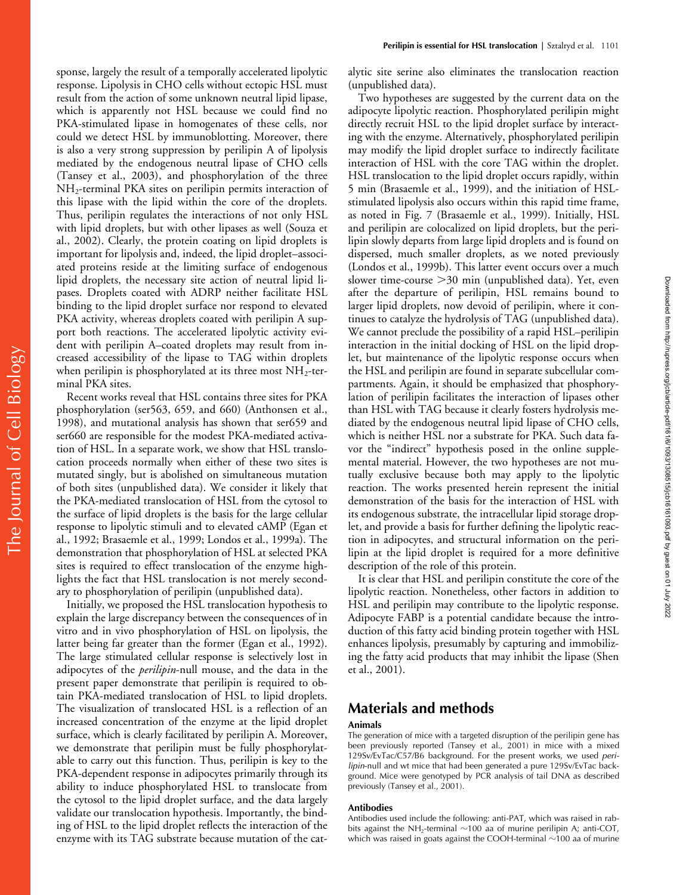sponse, largely the result of a temporally accelerated lipolytic response. Lipolysis in CHO cells without ectopic HSL must result from the action of some unknown neutral lipid lipase, which is apparently not HSL because we could find no PKA-stimulated lipase in homogenates of these cells, nor could we detect HSL by immunoblotting. Moreover, there is also a very strong suppression by perilipin A of lipolysis mediated by the endogenous neutral lipase of CHO cells (Tansey et al., 2003), and phosphorylation of the three NH2-terminal PKA sites on perilipin permits interaction of this lipase with the lipid within the core of the droplets. Thus, perilipin regulates the interactions of not only HSL with lipid droplets, but with other lipases as well (Souza et al., 2002). Clearly, the protein coating on lipid droplets is important for lipolysis and, indeed, the lipid droplet–associated proteins reside at the limiting surface of endogenous lipid droplets, the necessary site action of neutral lipid lipases. Droplets coated with ADRP neither facilitate HSL binding to the lipid droplet surface nor respond to elevated PKA activity, whereas droplets coated with perilipin A support both reactions. The accelerated lipolytic activity evident with perilipin A–coated droplets may result from increased accessibility of the lipase to TAG within droplets when perilipin is phosphorylated at its three most  $NH_2$ -terminal PKA sites.

Recent works reveal that HSL contains three sites for PKA phosphorylation (ser563, 659, and 660) (Anthonsen et al., 1998), and mutational analysis has shown that ser659 and ser660 are responsible for the modest PKA-mediated activation of HSL. In a separate work, we show that HSL translocation proceeds normally when either of these two sites is mutated singly, but is abolished on simultaneous mutation of both sites (unpublished data). We consider it likely that the PKA-mediated translocation of HSL from the cytosol to the surface of lipid droplets is the basis for the large cellular response to lipolytic stimuli and to elevated cAMP (Egan et al., 1992; Brasaemle et al., 1999; Londos et al., 1999a). The demonstration that phosphorylation of HSL at selected PKA sites is required to effect translocation of the enzyme highlights the fact that HSL translocation is not merely secondary to phosphorylation of perilipin (unpublished data).

Initially, we proposed the HSL translocation hypothesis to explain the large discrepancy between the consequences of in vitro and in vivo phosphorylation of HSL on lipolysis, the latter being far greater than the former (Egan et al., 1992). The large stimulated cellular response is selectively lost in adipocytes of the *perilipin*-null mouse, and the data in the present paper demonstrate that perilipin is required to obtain PKA-mediated translocation of HSL to lipid droplets. The visualization of translocated HSL is a reflection of an increased concentration of the enzyme at the lipid droplet surface, which is clearly facilitated by perilipin A. Moreover, we demonstrate that perilipin must be fully phosphorylatable to carry out this function. Thus, perilipin is key to the PKA-dependent response in adipocytes primarily through its ability to induce phosphorylated HSL to translocate from the cytosol to the lipid droplet surface, and the data largely validate our translocation hypothesis. Importantly, the binding of HSL to the lipid droplet reflects the interaction of the enzyme with its TAG substrate because mutation of the catalytic site serine also eliminates the translocation reaction (unpublished data).

Two hypotheses are suggested by the current data on the adipocyte lipolytic reaction. Phosphorylated perilipin might directly recruit HSL to the lipid droplet surface by interacting with the enzyme. Alternatively, phosphorylated perilipin may modify the lipid droplet surface to indirectly facilitate interaction of HSL with the core TAG within the droplet. HSL translocation to the lipid droplet occurs rapidly, within 5 min (Brasaemle et al., 1999), and the initiation of HSLstimulated lipolysis also occurs within this rapid time frame, as noted in Fig. 7 (Brasaemle et al., 1999). Initially, HSL and perilipin are colocalized on lipid droplets, but the perilipin slowly departs from large lipid droplets and is found on dispersed, much smaller droplets, as we noted previously (Londos et al., 1999b). This latter event occurs over a much slower time-course 30 min (unpublished data). Yet, even after the departure of perilipin, HSL remains bound to larger lipid droplets, now devoid of perilipin, where it continues to catalyze the hydrolysis of TAG (unpublished data). We cannot preclude the possibility of a rapid HSL–perilipin interaction in the initial docking of HSL on the lipid droplet, but maintenance of the lipolytic response occurs when the HSL and perilipin are found in separate subcellular compartments. Again, it should be emphasized that phosphorylation of perilipin facilitates the interaction of lipases other than HSL with TAG because it clearly fosters hydrolysis mediated by the endogenous neutral lipid lipase of CHO cells, which is neither HSL nor a substrate for PKA. Such data favor the "indirect" hypothesis posed in the online supplemental material. However, the two hypotheses are not mutually exclusive because both may apply to the lipolytic reaction. The works presented herein represent the initial demonstration of the basis for the interaction of HSL with its endogenous substrate, the intracellular lipid storage droplet, and provide a basis for further defining the lipolytic reaction in adipocytes, and structural information on the perilipin at the lipid droplet is required for a more definitive description of the role of this protein.

It is clear that HSL and perilipin constitute the core of the lipolytic reaction. Nonetheless, other factors in addition to HSL and perilipin may contribute to the lipolytic response. Adipocyte FABP is a potential candidate because the introduction of this fatty acid binding protein together with HSL enhances lipolysis, presumably by capturing and immobilizing the fatty acid products that may inhibit the lipase (Shen et al., 2001).

# **Materials and methods**

#### **Animals**

The generation of mice with a targeted disruption of the perilipin gene has been previously reported (Tansey et al., 2001) in mice with a mixed 129Sv/EvTac/C57/B6 background. For the present works, we used *perilipin*-null and wt mice that had been generated a pure 129Sv/EvTac background. Mice were genotyped by PCR analysis of tail DNA as described previously (Tansey et al., 2001).

#### **Antibodies**

Antibodies used include the following: anti-PAT, which was raised in rabbits against the NH<sub>2</sub>-terminal  $\sim$ 100 aa of murine perilipin A; anti-COT, which was raised in goats against the COOH-terminal  $\sim$ 100 aa of murine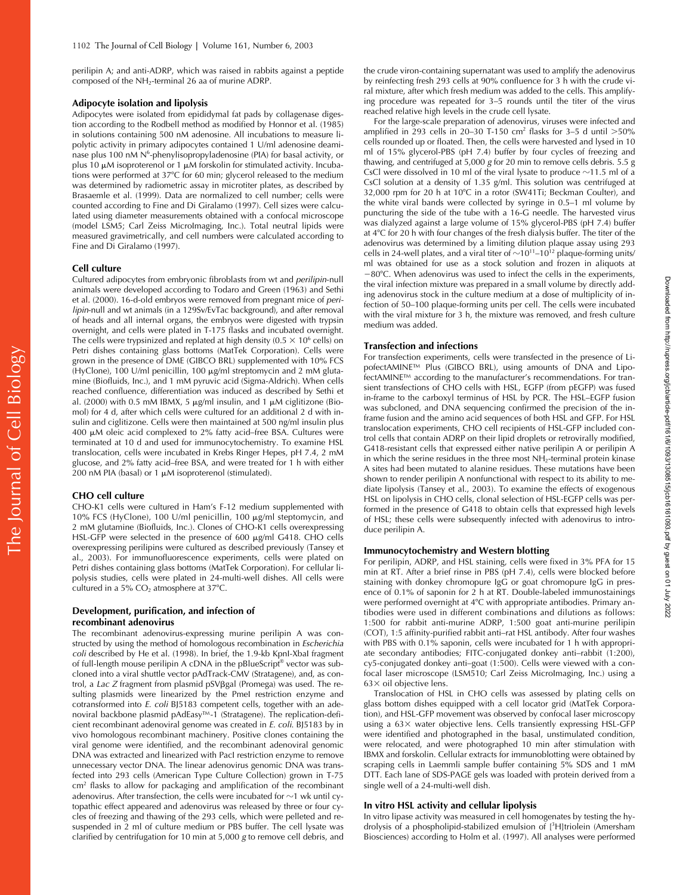perilipin A; and anti-ADRP, which was raised in rabbits against a peptide composed of the NH2-terminal 26 aa of murine ADRP.

#### **Adipocyte isolation and lipolysis**

Adipocytes were isolated from epididymal fat pads by collagenase digestion according to the Rodbell method as modified by Honnor et al. (1985) in solutions containing 500 nM adenosine. All incubations to measure lipolytic activity in primary adipocytes contained 1 U/ml adenosine deaminase plus 100 nM N<sup>6</sup>-phenylisopropyladenosine (PIA) for basal activity, or plus 10  $\mu$ M isoproterenol or 1  $\mu$ M forskolin for stimulated activity. Incubations were performed at 37°C for 60 min; glycerol released to the medium was determined by radiometric assay in microtiter plates, as described by Brasaemle et al. (1999). Data are normalized to cell number; cells were counted according to Fine and Di Giralamo (1997). Cell sizes were calculated using diameter measurements obtained with a confocal microscope (model LSM5; Carl Zeiss MicroImaging, Inc.). Total neutral lipids were measured gravimetrically, and cell numbers were calculated according to Fine and Di Giralamo (1997).

#### **Cell culture**

Cultured adipocytes from embryonic fibroblasts from wt and *perilipin*-null animals were developed according to Todaro and Green (1963) and Sethi et al. (2000). 16-d-old embryos were removed from pregnant mice of *perilipin*-null and wt animals (in a 129Sv/EvTac background), and after removal of heads and all internal organs, the embryos were digested with trypsin overnight, and cells were plated in T-175 flasks and incubated overnight. The cells were trypsinized and replated at high density (0.5  $\times$  10<sup>6</sup> cells) on Petri dishes containing glass bottoms (MatTek Corporation). Cells were grown in the presence of DME (GIBCO BRL) supplemented with 10% FCS (HyClone), 100 U/ml penicillin, 100 μg/ml streptomycin and 2 mM glutamine (Biofluids, Inc.), and 1 mM pyruvic acid (Sigma-Aldrich). When cells reached confluence, differentiation was induced as described by Sethi et al. (2000) with 0.5 mM IBMX, 5  $\mu$ g/ml insulin, and 1  $\mu$ M ciglitizone (Biomol) for 4 d, after which cells were cultured for an additional 2 d with insulin and ciglitizone. Cells were then maintained at 500 ng/ml insulin plus  $400 \mu$ M oleic acid complexed to  $2\%$  fatty acid–free BSA. Cultures were terminated at 10 d and used for immunocytochemistry. To examine HSL translocation, cells were incubated in Krebs Ringer Hepes, pH 7.4, 2 mM glucose, and 2% fatty acid–free BSA, and were treated for 1 h with either 200 nM PIA (basal) or 1  $\mu$ M isoproterenol (stimulated).

#### **CHO cell culture**

CHO-K1 cells were cultured in Ham's F-12 medium supplemented with 10% FCS (HyClone), 100 U/ml penicillin, 100 μg/ml steptomycin, and 2 mM glutamine (Biofluids, Inc.). Clones of CHO-K1 cells overexpressing HSL-GFP were selected in the presence of 600  $\mu$ g/ml G418. CHO cells overexpressing perilipins were cultured as described previously (Tansey et al., 2003). For immunofluorescence experiments, cells were plated on Petri dishes containing glass bottoms (MatTek Corporation). For cellular lipolysis studies, cells were plated in 24-multi-well dishes. All cells were cultured in a 5%  $CO<sub>2</sub>$  atmosphere at 37°C.

#### **Development, purification, and infection of recombinant adenovirus**

The recombinant adenovirus-expressing murine perilipin A was constructed by using the method of homologous recombination in *Escherichia coli* described by He et al. (1998). In brief, the 1.9-kb KpnI-XbaI fragment of full-length mouse perilipin A cDNA in the pBlueScript® vector was subcloned into a viral shuttle vector pAdTrack-CMV (Stratagene), and, as control*,* a *Lac Z* fragment from plasmid pSVßgal (Promega) was used. The resulting plasmids were linearized by the PmeI restriction enzyme and cotransformed into *E. coli* BJ5183 competent cells, together with an adenoviral backbone plasmid pAdEasy™-1 (Stratagene). The replication-deficient recombinant adenoviral genome was created in *E. coli*. BJ5183 by in vivo homologous recombinant machinery. Positive clones containing the viral genome were identified, and the recombinant adenoviral genomic DNA was extracted and linearized with PacI restriction enzyme to remove unnecessary vector DNA. The linear adenovirus genomic DNA was transfected into 293 cells (American Type Culture Collection) grown in T-75 cm<sup>2</sup> flasks to allow for packaging and amplification of the recombinant adenovirus. After transfection, the cells were incubated for  $\sim$ 1 wk until cytopathic effect appeared and adenovirus was released by three or four cycles of freezing and thawing of the 293 cells, which were pelleted and resuspended in 2 ml of culture medium or PBS buffer. The cell lysate was clarified by centrifugation for 10 min at 5,000 *g* to remove cell debris, and

the crude viron-containing supernatant was used to amplify the adenovirus by reinfecting fresh 293 cells at 90% confluence for 3 h with the crude viral mixture, after which fresh medium was added to the cells. This amplifying procedure was repeated for 3–5 rounds until the titer of the virus reached relative high levels in the crude cell lysate.

For the large-scale preparation of adenovirus, viruses were infected and amplified in 293 cells in 20–30 T-150 cm<sup>2</sup> flasks for 3–5 d until  $>$ 50% cells rounded up or floated. Then, the cells were harvested and lysed in 10 ml of 15% glycerol-PBS (pH 7.4) buffer by four cycles of freezing and thawing, and centrifuged at 5,000 *g* for 20 min to remove cells debris. 5.5 g CsCl were dissolved in 10 ml of the viral lysate to produce  $\sim$ 11.5 ml of a CsCl solution at a density of 1.35 g/ml. This solution was centrifuged at 32,000 rpm for 20 h at 10°C in a rotor (SW41Ti; Beckman Coulter), and the white viral bands were collected by syringe in 0.5–1 ml volume by puncturing the side of the tube with a 16-G needle. The harvested virus was dialyzed against a large volume of 15% glycerol-PBS (pH 7.4) buffer at 4C for 20 h with four changes of the fresh dialysis buffer. The titer of the adenovirus was determined by a limiting dilution plaque assay using 293 cells in 24-well plates, and a viral titer of  $\sim$ 10<sup>11</sup>–10<sup>12</sup> plaque-forming units/ ml was obtained for use as a stock solution and frozen in aliquots at -80°C. When adenovirus was used to infect the cells in the experiments, the viral infection mixture was prepared in a small volume by directly adding adenovirus stock in the culture medium at a dose of multiplicity of infection of 50–100 plaque-forming units per cell. The cells were incubated with the viral mixture for 3 h, the mixture was removed, and fresh culture medium was added.

#### **Transfection and infections**

For transfection experiments, cells were transfected in the presence of LipofectAMINE™ Plus (GIBCO BRL), using amounts of DNA and LipofectAMINE™ according to the manufacturer's recommendations. For transient transfections of CHO cells with HSL, EGFP (from pEGFP) was fused in-frame to the carboxyl terminus of HSL by PCR. The HSL–EGFP fusion was subcloned, and DNA sequencing confirmed the precision of the inframe fusion and the amino acid sequences of both HSL and GFP. For HSL translocation experiments, CHO cell recipients of HSL-GFP included control cells that contain ADRP on their lipid droplets or retrovirally modified, G418-resistant cells that expressed either native perilipin A or perilipin A in which the serine residues in the three most NH<sub>2</sub>-terminal protein kinase A sites had been mutated to alanine residues. These mutations have been shown to render perilipin A nonfunctional with respect to its ability to mediate lipolysis (Tansey et al., 2003). To examine the effects of exogenous HSL on lipolysis in CHO cells, clonal selection of HSL-EGFP cells was performed in the presence of G418 to obtain cells that expressed high levels of HSL; these cells were subsequently infected with adenovirus to introduce perilipin A.

#### **Immunocytochemistry and Western blotting**

For perilipin, ADRP, and HSL staining, cells were fixed in 3% PFA for 15 min at RT. After a brief rinse in PBS (pH 7.4), cells were blocked before staining with donkey chromopure IgG or goat chromopure IgG in presence of 0.1% of saponin for 2 h at RT. Double-labeled immunostainings were performed overnight at 4°C with appropriate antibodies. Primary antibodies were used in different combinations and dilutions as follows: 1:500 for rabbit anti-murine ADRP, 1:500 goat anti-murine perilipin (COT), 1:5 affinity-purified rabbit anti–rat HSL antibody. After four washes with PBS with 0.1% saponin, cells were incubated for 1 h with appropriate secondary antibodies; FITC-conjugated donkey anti–rabbit (1:200), cy5-conjugated donkey anti–goat (1:500). Cells were viewed with a confocal laser microscope (LSM510; Carl Zeiss MicroImaging, Inc.) using a  $63 \times$  oil objective lens.

Translocation of HSL in CHO cells was assessed by plating cells on glass bottom dishes equipped with a cell locator grid (MatTek Corporation), and HSL-GFP movement was observed by confocal laser microscopy using a  $63\times$  water objective lens. Cells transiently expressing HSL-GFP were identified and photographed in the basal, unstimulated condition, were relocated, and were photographed 10 min after stimulation with IBMX and forskolin. Cellular extracts for immunoblotting were obtained by scraping cells in Laemmli sample buffer containing 5% SDS and 1 mM DTT. Each lane of SDS-PAGE gels was loaded with protein derived from a single well of a 24-multi-well dish.

#### **In vitro HSL activity and cellular lipolysis**

In vitro lipase activity was measured in cell homogenates by testing the hydrolysis of a phospholipid-stabilized emulsion of [3 H]triolein (Amersham Biosciences) according to Holm et al. (1997). All analyses were performed